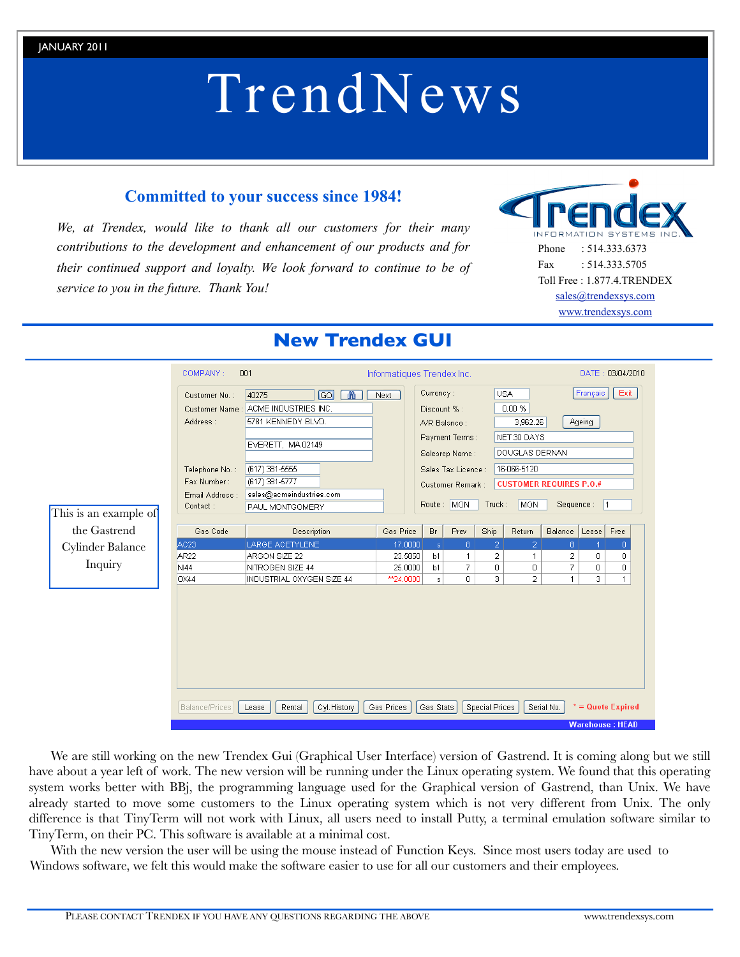# TrendNews

# **Committed to your success since 1984!**

*We, at Trendex, would like to thank all our customers for their many contributions to the development and enhancement of our products and for their continued support and loyalty. We look forward to continue to be of service to you in the future. Thank You!*



Phone : 514.333.6373 Fax : 514.333.5705 Toll Free : 1.877.4.TRENDEX [sales@trendexsys.com](mailto:sales@trendexsys.com) [www.trendexsys.com](http://www.trendexsys.com)

|                       | COMPANY:         | 001                            |            | Informatiques Trendex Inc.              |              |                       |                                               | DATE: 03/04/2010 |                        |                     |  |
|-----------------------|------------------|--------------------------------|------------|-----------------------------------------|--------------|-----------------------|-----------------------------------------------|------------------|------------------------|---------------------|--|
|                       | Customer No.:    | $\boxed{GO}$<br>66<br>40275    | Next       | Currency:                               |              |                       | <b>USA</b>                                    |                  | Français               | Exit                |  |
|                       | Customer Name:   | ACME INDUSTRIES INC.           |            | Discount % :                            |              |                       | $0.00 \%$                                     |                  |                        |                     |  |
|                       | Address:         | 5781 KENNEDY BLVD.             |            |                                         | A/R Balance: |                       | 3,962.26                                      |                  | Ageing                 |                     |  |
|                       |                  |                                |            | Payment Terms:<br>Salesrep Name:        |              |                       | NET 30 DAYS                                   |                  |                        |                     |  |
|                       |                  | EVERETT, MA 02149              |            |                                         |              |                       |                                               |                  |                        |                     |  |
|                       |                  |                                |            |                                         |              |                       | DOUGLAS DERNAN                                |                  |                        |                     |  |
|                       | Telephone No.:   | (617) 381-5555                 |            | Sales Tax Licence :<br>Customer Remark: |              |                       | 16-066-5120<br><b>CUSTOMER REQUIRES P.O.#</b> |                  |                        |                     |  |
|                       | Fax Number:      | (617) 381-5777                 |            |                                         |              |                       |                                               |                  |                        |                     |  |
|                       | Email Address :  | sales@acmeindustries.com       |            |                                         |              |                       |                                               |                  |                        |                     |  |
|                       | Contact:         | PAUL MONTGOMERY                |            |                                         | Route: MON   | Truck:                | <b>MON</b>                                    |                  | Sequence:              | $\vert$ 1           |  |
| This is an example of |                  |                                |            |                                         |              |                       |                                               |                  |                        |                     |  |
| the Gastrend          | Gas Code         | Description                    | Gas Price  | Br                                      | Prev         | Ship                  | Return                                        | Balance          | Lease                  | Free                |  |
| Cylinder Balance      | AC <sub>23</sub> | LARGE ACETYLENE                | 17.0000    | $\mathbf{s}$                            | 8            | 2                     | 2                                             | 8                |                        | $\Omega$            |  |
|                       | AR <sub>22</sub> | ARGON SIZE 22                  | 23.5850    | b1                                      | 1            | 2                     | 1                                             | 2                | 0                      | 0                   |  |
| Inquiry               | <b>NI44</b>      | NITROGEN SIZE 44               | 25.0000    | b1                                      | 7            | 0                     | 0                                             | 7                | 0                      | 0                   |  |
|                       | OX44             | INDUSTRIAL OXYGEN SIZE 44      | ** 24.0000 | s                                       | 0            | 3                     | $\overline{2}$                                | $\mathbf{1}$     | 3                      | $\mathbf{1}$        |  |
|                       |                  |                                |            |                                         |              |                       |                                               |                  |                        |                     |  |
|                       | Balance/Prices   | Cyl.History<br>Rental<br>Lease | Gas Prices | Gas Stats                               |              | <b>Special Prices</b> |                                               | Serial No.       | <b>Warehouse: HEAD</b> | $* =$ Quote Expired |  |

# **New Trendex GUI**

We are still working on the new Trendex Gui (Graphical User Interface) version of Gastrend. It is coming along but we still have about a year left of work. The new version will be running under the Linux operating system. We found that this operating system works better with BBj, the programming language used for the Graphical version of Gastrend, than Unix. We have already started to move some customers to the Linux operating system which is not very different from Unix. The only difference is that TinyTerm will not work with Linux, all users need to install Putty, a terminal emulation software similar to TinyTerm, on their PC. This software is available at a minimal cost.

With the new version the user will be using the mouse instead of Function Keys. Since most users today are used to Windows software, we felt this would make the software easier to use for all our customers and their employees.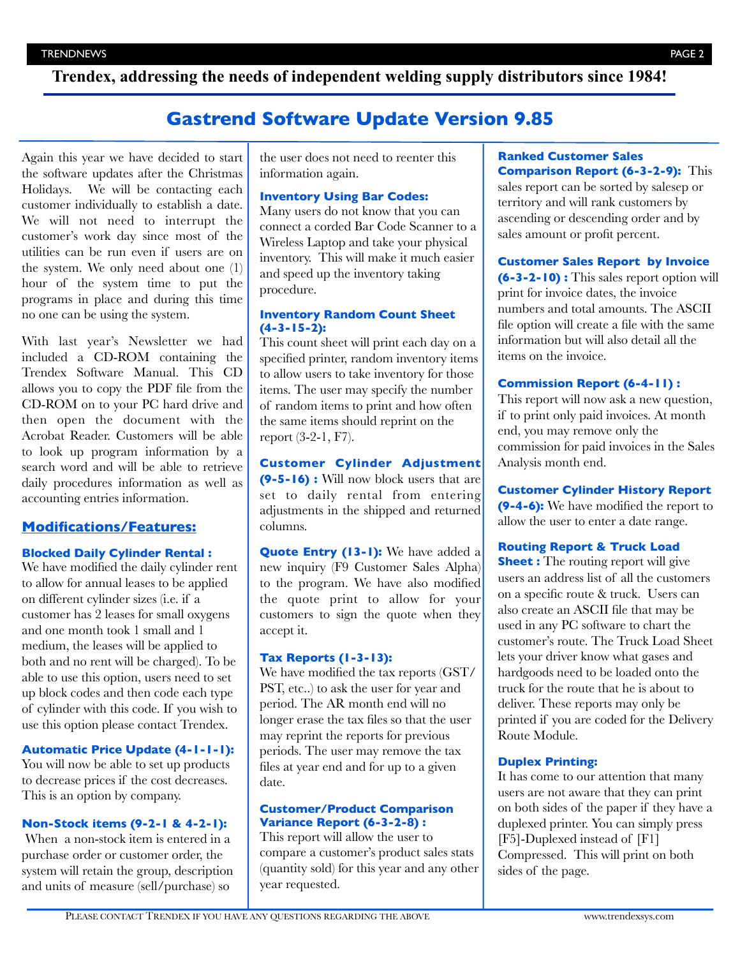**Trendex, addressing the needs of independent welding supply distributors since 1984!**

# **Gastrend Software Update Version 9.85**

Again this year we have decided to start the software updates after the Christmas Holidays. We will be contacting each customer individually to establish a date. We will not need to interrupt the customer's work day since most of the utilities can be run even if users are on the system. We only need about one (1) hour of the system time to put the programs in place and during this time no one can be using the system.

With last year's Newsletter we had included a CD-ROM containing the Trendex Software Manual. This CD allows you to copy the PDF file from the CD-ROM on to your PC hard drive and then open the document with the Acrobat Reader. Customers will be able to look up program information by a search word and will be able to retrieve daily procedures information as well as accounting entries information.

# **Modifications/Features:**

#### **Blocked Daily Cylinder Rental :**

We have modified the daily cylinder rent to allow for annual leases to be applied on different cylinder sizes (i.e. if a customer has 2 leases for small oxygens and one month took 1 small and 1 medium, the leases will be applied to both and no rent will be charged). To be able to use this option, users need to set up block codes and then code each type of cylinder with this code. If you wish to use this option please contact Trendex.

#### **Automatic Price Update (4-1-1-1):**

You will now be able to set up products to decrease prices if the cost decreases. This is an option by company.

#### **Non-Stock items (9-2-1 & 4-2-1):**

When a non-stock item is entered in a purchase order or customer order, the system will retain the group, description and units of measure (sell/purchase) so

the user does not need to reenter this information again.

# **Inventory Using Bar Codes:**

Many users do not know that you can connect a corded Bar Code Scanner to a Wireless Laptop and take your physical inventory. This will make it much easier and speed up the inventory taking procedure.

#### **Inventory Random Count Sheet (4-3-15-2):**

This count sheet will print each day on a specified printer, random inventory items to allow users to take inventory for those items. The user may specify the number of random items to print and how often the same items should reprint on the report (3-2-1, F7).

# **Customer Cylinder Adjustment**

**(9-5-16) :** Will now block users that are set to daily rental from entering adjustments in the shipped and returned columns.

**Quote Entry (13-1):** We have added a new inquiry (F9 Customer Sales Alpha) to the program. We have also modified the quote print to allow for your customers to sign the quote when they accept it.

# **Tax Reports (1-3-13):**

We have modified the tax reports (GST/ PST, etc..) to ask the user for year and period. The AR month end will no longer erase the tax files so that the user may reprint the reports for previous periods. The user may remove the tax files at year end and for up to a given date.

#### **Customer/Product Comparison Variance Report (6-3-2-8) :**

This report will allow the user to compare a customer's product sales stats (quantity sold) for this year and any other year requested.

#### **Ranked Customer Sales Comparison Report (6-3-2-9):** This

sales report can be sorted by salesep or territory and will rank customers by ascending or descending order and by sales amount or profit percent.

#### **Customer Sales Report by Invoice**

**(6-3-2-10) :** This sales report option will print for invoice dates, the invoice numbers and total amounts. The ASCII file option will create a file with the same information but will also detail all the items on the invoice.

#### **Commission Report (6-4-11) :**

This report will now ask a new question, if to print only paid invoices. At month end, you may remove only the commission for paid invoices in the Sales Analysis month end.

#### **Customer Cylinder History Report**

**(9-4-6):** We have modified the report to allow the user to enter a date range.

#### **Routing Report & Truck Load**

**Sheet :** The routing report will give users an address list of all the customers on a specific route & truck. Users can also create an ASCII file that may be used in any PC software to chart the customer's route. The Truck Load Sheet lets your driver know what gases and hardgoods need to be loaded onto the truck for the route that he is about to deliver. These reports may only be printed if you are coded for the Delivery Route Module.

#### **Duplex Printing:**

It has come to our attention that many users are not aware that they can print on both sides of the paper if they have a duplexed printer. You can simply press [F5]-Duplexed instead of [F1] Compressed. This will print on both sides of the page.